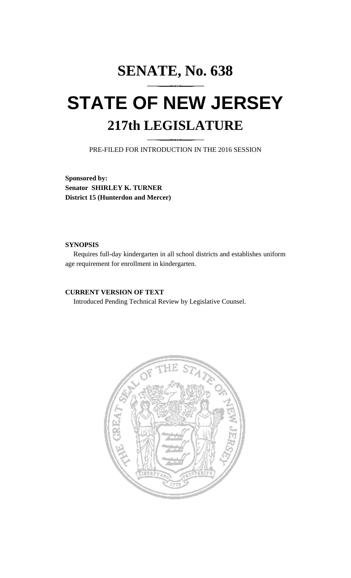# **SENATE, No. 638 STATE OF NEW JERSEY 217th LEGISLATURE**

PRE-FILED FOR INTRODUCTION IN THE 2016 SESSION

**Sponsored by: Senator SHIRLEY K. TURNER District 15 (Hunterdon and Mercer)**

### **SYNOPSIS**

Requires full-day kindergarten in all school districts and establishes uniform age requirement for enrollment in kindergarten.

## **CURRENT VERSION OF TEXT**

Introduced Pending Technical Review by Legislative Counsel.

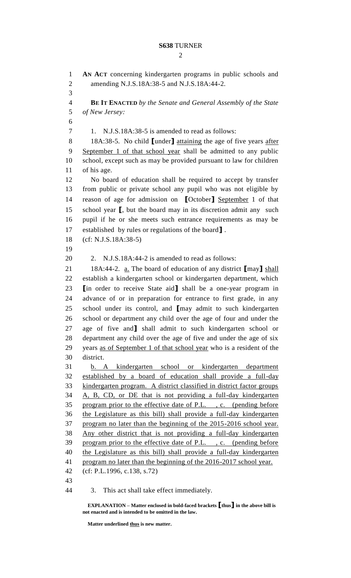## **S638** TURNER

 $\mathcal{D}_{\mathcal{L}}$ 

 **AN ACT** concerning kindergarten programs in public schools and amending N.J.S.18A:38-5 and N.J.S.18A:44-2. **BE IT ENACTED** *by the Senate and General Assembly of the State of New Jersey:* 1. N.J.S.18A:38-5 is amended to read as follows: 18A:38-5. No child **[**under**]** attaining the age of five years after September 1 of that school year shall be admitted to any public school, except such as may be provided pursuant to law for children of his age. No board of education shall be required to accept by transfer from public or private school any pupil who was not eligible by reason of age for admission on **[**October**]** September 1 of that school year **[**, but the board may in its discretion admit any such pupil if he or she meets such entrance requirements as may be established by rules or regulations of the board**]** . (cf: N.J.S.18A:38-5) 2. N.J.S.18A:44-2 is amended to read as follows: 18A:44-2. a. The board of education of any district **[**may**]** shall establish a kindergarten school or kindergarten department, which **[**in order to receive State aid**]** shall be a one-year program in advance of or in preparation for entrance to first grade, in any school under its control, and **[**may admit to such kindergarten school or department any child over the age of four and under the age of five and**]** shall admit to such kindergarten school or department any child over the age of five and under the age of six years as of September 1 of that school year who is a resident of the district. b. A kindergarten school or kindergarten department established by a board of education shall provide a full-day kindergarten program. A district classified in district factor groups 34 A, B, CD, or DE that is not providing a full-day kindergarten program prior to the effective date of P.L. , c. (pending before the Legislature as this bill) shall provide a full-day kindergarten program no later than the beginning of the 2015-2016 school year. Any other district that is not providing a full-day kindergarten program prior to the effective date of P.L. , c. (pending before the Legislature as this bill) shall provide a full-day kindergarten program no later than the beginning of the 2016-2017 school year. (cf: P.L.1996, c.138, s.72) 3. This act shall take effect immediately.

**EXPLANATION – Matter enclosed in bold-faced brackets [thus] in the above bill is not enacted and is intended to be omitted in the law.**

**Matter underlined thus is new matter.**